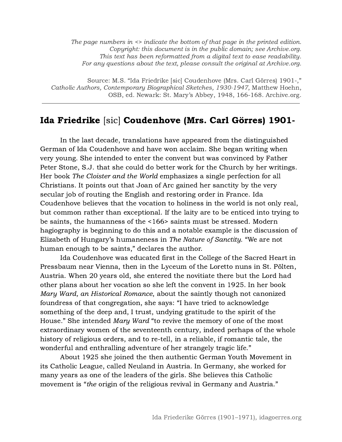The page numbers in  $\leq$  indicate the bottom of that page in the printed edition. Copyright: this document is in the public domain; see Archive.org. This text has been reformatted from a digital text to ease readability. For any questions about the text, please consult the original at Archive.org.

Source: M.S. "Ida Friedrike [sic] Coudenhove (Mrs. Carl Görres) 1901-," Catholic Authors, Contemporary Biographical Sketches, 1930-1947, Matthew Hoehn, OSB, ed. Newark: St. Mary's Abbey, 1948, 166-168. Archive.org.

## Ida Friedrike [sic] Coudenhove (Mrs. Carl Görres) 1901-

In the last decade, translations have appeared from the distinguished German of Ida Coudenhove and have won acclaim. She began writing when very young. She intended to enter the convent but was convinced by Father Peter Stone, S.J. that she could do better work for the Church by her writings. Her book The Cloister and the World emphasizes a single perfection for all Christians. It points out that Joan of Arc gained her sanctity by the very secular job of routing the English and restoring order in France. Ida Coudenhove believes that the vocation to holiness in the world is not only real, but common rather than exceptional. If the laity are to be enticed into trying to be saints, the humanness of the <166> saints must be stressed. Modern hagiography is beginning to do this and a notable example is the discussion of Elizabeth of Hungary's humaneness in The Nature of Sanctity. "We are not human enough to be saints," declares the author.

Ida Coudenhove was educated first in the College of the Sacred Heart in Pressbaum near Vienna, then in the Lyceum of the Loretto nuns in St. Pölten, Austria. When 20 years old, she entered the novitiate there but the Lord had other plans about her vocation so she left the convent in 1925. In her book Mary Ward, an Historical Romance, about the saintly though not canonized foundress of that congregation, she says: "I have tried to acknowledge something of the deep and, I trust, undying gratitude to the spirit of the House." She intended Mary Ward "to revive the memory of one of the most extraordinary women of the seventeenth century, indeed perhaps of the whole history of religious orders, and to re-tell, in a reliable, if romantic tale, the wonderful and enthralling adventure of her strangely tragic life."

About 1925 she joined the then authentic German Youth Movement in its Catholic League, called Neuland in Austria. In Germany, she worked for many years as one of the leaders of the girls. She believes this Catholic movement is "the origin of the religious revival in Germany and Austria."